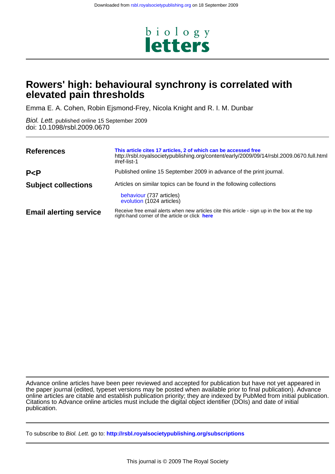

# **elevated pain thresholds Rowers' high: behavioural synchrony is correlated with**

Emma E. A. Cohen, Robin Ejsmond-Frey, Nicola Knight and R. I. M. Dunbar

doi: 10.1098/rsbl.2009.0670 Biol. Lett. published online 15 September 2009

| <b>References</b>             | This article cites 17 articles, 2 of which can be accessed free<br>http://rsbl.royalsocietypublishing.org/content/early/2009/09/14/rsbl.2009.0670.full.html<br>#ref-list-1 |
|-------------------------------|----------------------------------------------------------------------------------------------------------------------------------------------------------------------------|
| P < P                         | Published online 15 September 2009 in advance of the print journal.                                                                                                        |
| <b>Subject collections</b>    | Articles on similar topics can be found in the following collections<br>behaviour (737 articles)<br>evolution (1024 articles)                                              |
| <b>Email alerting service</b> | Receive free email alerts when new articles cite this article - sign up in the box at the top<br>right-hand corner of the article or click here                            |

publication. Citations to Advance online articles must include the digital object identifier (DOIs) and date of initial online articles are citable and establish publication priority; they are indexed by PubMed from initial publication. the paper journal (edited, typeset versions may be posted when available prior to final publication). Advance Advance online articles have been peer reviewed and accepted for publication but have not yet appeared in

To subscribe to Biol. Lett. go to: **<http://rsbl.royalsocietypublishing.org/subscriptions>**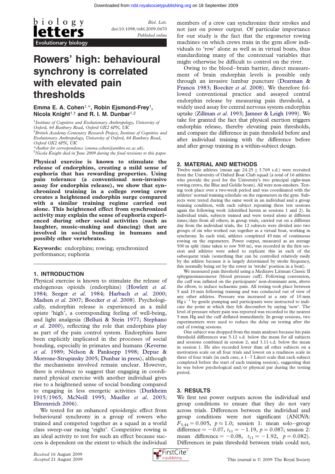

Biol. Lett. doi:10.1098/rsbl.2009.0670 Published online

# Rowers' high: behavioural synchrony is correlated with elevated pain thresholds

## Emma E. A. Cohen<sup>1,\*</sup>, Robin Ejsmond-Frey<sup>1</sup>, Nicola Knight<sup>1,†</sup> and R. I. M. Dunbar<sup>1,2</sup>

<sup>1</sup> Institute of Cognitive and Evolutionary Anthropology, University of Oxford, 64 Banbury Road, Oxford OX2 6PN, UK <sup>2</sup> British Academy Centenary Research Project, Institute of Cognitive and Evolutionary Anthropology, University of Oxford, 64 Banbury Road, Oxford OX2 6PN, UK \*Author for correspondence ([emma.cohen@anthro.ox.ac.uk](mailto:emma.cohen@anthro.ox.ac.uk)). [†](mailto:emma.cohen@anthro.ox.ac.uk)

[Nicola Knight died in June 2009 during the final revisions to this paper.](mailto:emma.cohen@anthro.ox.ac.uk)

Physical exercise is known to stimulate the release of endorphins, creating a mild sense of euphoria that has rewarding properties. Using pain tolerance (a conventional non-invasive assay for endorphin release), we show that synchronized training in a college rowing crew creates a heightened endorphin surge compared with a similar training regime carried out alone. This heightened effect from synchronized activity may explain the sense of euphoria experienced during other social activities (such as laughter, music-making and dancing) that are involved in social bonding in humans and possibly other vertebrates.

Keywords: endorphins; rowing; synchronized performance; euphoria

#### 1. INTRODUCTION

Physical exercise is known to stimulate the release of endogenous opioids (endorphins) [\(Howlett](#page-3-0) et al. [1984;](#page-3-0) Seeger et al[. 1984](#page-3-0); [Harbach](#page-3-0) et al. 2000; [Madsen](#page-3-0) et al. 2007; [Boecker](#page-3-0) et al. 2008). Psychologically, endorphin release is experienced as a mild opiate 'high', a corresponding feeling of well-being, and light analgesia [\(Belluzi & Stein 1977;](#page-3-0) [Stephano](#page-3-0) et al[. 2000](#page-3-0)), reflecting the role that endorphins play as part of the pain control system. Endorphins have been explicitly implicated in the processes of social bonding, especially in primates and humans [\(Keverne](#page-3-0) et al[. 1989](#page-3-0); [Nelson & Panksepp 1998;](#page-3-0) [Depue &](#page-3-0) [Morrone-Strupinsky 2005;](#page-3-0) [Dunbar in press\)](#page-3-0), although the mechanisms involved remain unclear. However, there is evidence to suggest that engaging in coordinated physical exercise with another individual gives rise to a heightened sense of social bonding compared to engaging in less energetic activities ([Durkheim](#page-3-0) 1915/[1965;](#page-3-0) [McNeill 1995;](#page-3-0) [Mueller](#page-3-0) et al. 2003; [Ehrenreich 2006\)](#page-3-0).

We tested for an enhanced opioidergic effect from behavioural synchrony in a group of rowers who trained and competed together as a squad in a world class sweep-oar racing 'eight'. Competitive rowing is an ideal activity to test for such an effect because success is dependent on the extent to which the individual members of a crew can synchronize their strokes and not just on power output. Of particular importance for our study is the fact that the ergometer rowing machines on which crews train in the gym allow individuals to 'row' alone as well as in virtual boats, thus standardizing many of the contextual variables that might otherwise be difficult to control on the river.

Owing to the blood–brain barrier, direct measurement of brain endorphin levels is possible only through an invasive lumbar puncture [\(Dearman &](#page-3-0) [Francis 1983;](#page-3-0) [Boecker](#page-3-0) et al. 2008). We therefore followed conventional practice and assayed central endorphin release by measuring pain threshold, a widely used assay for central nervous system endorphin uptake ([Zillman](#page-3-0) et al. 1993; [Jamner & Leigh 1999](#page-3-0)). We take for granted the fact that physical exertion triggers endorphin release, thereby elevating pain thresholds, and compare the difference in pain threshold before and after individual training with the difference before and after group training in a within-subject design.

#### 2. MATERIAL AND METHODS

Twelve male athletes (mean age  $24.25 \pm 3.769$  s.d.) were recruited from the University of Oxford Boat Club squad (a total of 16 athletes who provide the pool for the University's two principal eight-man rowing crews, the Blue and Goldie boats). All were non-smokers. Testing took place over a two-week period and was coordinated with the athletes' normal training schedule on the ergometers in the gym. Subjects were tested during the same week in an individual and a group training condition, with each subject repeating these test sessions again the following week (identified herein as sessions 1 and 2). In individual trials, subjects trained and were tested alone at different times/days from all others; in group trials, carried out on a different day from the individual trials, the 12 subjects were divided into two groups of six who worked out together as a virtual boat, working in synchrony. In each trial, athletes completed 45 min of continuous rowing on the ergometers. Power output, measured as an average 500 m split (time taken to row 500 m), was recorded in the first session and athletes were asked to replicate this in each of the subsequent trials (something that can be controlled relatively easily by the athlete because it is largely determined by stroke frequency, this normally being set by the rower in 'stroke' position in a boat).

We measured pain threshold using a Medisave Littman Classic II sphygmomanometer (blood pressure cuff). Following convention, the cuff was inflated on the participants' non-dominant arm, above the elbow, to induce ischaemic pain. All testing took place between 5 and 10 min following training and was conducted out of view of any other athletes. Pressure was increased at a rate of 10 mm  $Hg s^{-1}$  by gentle pumping and participants were instructed to indicate the point at which they felt discomfort by saying 'now'. The level of pressure where pain was reported was recorded to the nearest 5 mm Hg and the cuff deflated immediately. In group sessions, two experimenters were used to reduce the delay on testing after the end of rowing sessions.

One subject was dropped from the main analyses because his pain threshold differences was 5.12 s.d. below the mean for all subjects and sessions combined in session 2, and 3.11 s.d. below the mean in session 1. He also recorded lower than all other subjects on a motivation scale on all four trials and lowest on a readiness scale in three of four trials (in each case, a  $1-7$  Likert scale that each subject completed before the start of each training session), suggesting that he was below psychological and/or physical par during the testing period.

### 3. RESULTS

We first test power outputs across the individual and group conditions to ensure that they do not vary across trials. Differences between the individual and group conditions were not significant (ANOVA:  $F_{3,44} = 0.005$ ,  $p \approx 1.0$ ; session 1: mean solo-group difference = -0.07,  $t_{11}$  = -1.19,  $p = 0.087$ ; session 2: mean difference = -0.08,  $t_{11} = -1.92$ ,  $p = 0.082$ ). Differences in pain threshold between trials could not,

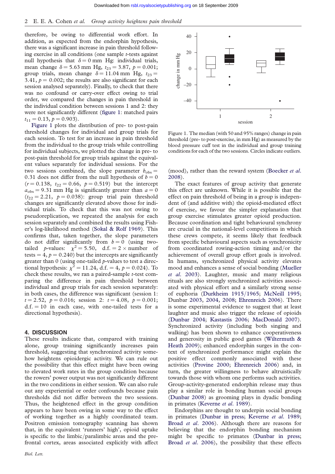therefore, be owing to differential work effort. In addition, as expected from the endorphin hypothesis, there was a significant increase in pain threshold following exercise in all conditions (one sample t-tests against null hypothesis that  $\delta = 0$  mm Hg: individual trials, mean change  $\delta = 5.63$  mm Hg,  $t_{23} = 3.87$ ,  $p = 0.001$ ; group trials, mean change  $\delta = 11.04$  mm Hg,  $t_{23} =$ 3.41,  $p = 0.002$ ; the results are also significant for each session analysed separately). Finally, to check that there was no confound or carry-over effect owing to trial order, we compared the changes in pain threshold in the individual condition between sessions 1 and 2: they were not significantly different (figure 1: matched pairs  $t_{11} = 0.13, p = 0.903$ .

Figure 1 plots the distribution of pre- to post-pain threshold changes for individual and group trials for each session. To test for an increase in pain threshold from the individual to the group trials while controlling for individual subjects, we plotted the change in pre- to post-pain threshold for group trials against the equivalent values separately for individual sessions. For the two sessions combined, the slope parameter  $b_{obs} =$ 0.31 does not differ from the null hypothesis of  $b = 0$  $(r = 0.138, t_{22} = 0.66, p = 0.519)$  but the intercept  $a<sub>obs</sub> = 9.31$  mm Hg is significantly greater than  $a = 0$  $(t_{22} = 2.21, p = 0.038)$ : group trial pain threshold changes are significantly elevated above those for individual trials. To check that this was not owing to pseudoreplication, we repeated the analysis for each session separately and combined the results using Fisher's log-likelihood method ([Sokal & Rolf 1969](#page-3-0)). This confirms that, taken together, the slope parameters do not differ significantly from  $b = 0$  (using twotailed p-values:  $\chi^2 = 5.50$ , d.f. = 2 × number of tests =  $4, p = 0.240$ ) but the intercepts are significantly greater than  $0$  (using one-tailed  $p$ -values to test a directional hypothesis:  $\chi^2 = 11.24$ , d.f. = 4,  $p = 0.024$ ). To check these results, we ran a paired-sample  $t$ -test comparing the difference in pain threshold between individual and group trials for each session separately: in both cases, the difference was significant (session 1:  $t = 2.52$ ,  $p = 0.016$ ; session 2:  $t = 4.08$ ,  $p = 0.001$ ;  $d.f. = 10$  in each case, with one-tailed tests for a directional hypothesis).

#### 4. DISCUSSION

These results indicate that, compared with training alone, group training significantly increases pain threshold, suggesting that synchronized activity somehow heightens opioidergic activity. We can rule out the possibility that this effect might have been owing to elevated work rates in the group condition because the rowers' power output was not significantly different in the two conditions in either session. We can also rule out any experiential or order confounds because pain thresholds did not differ between the two sessions. Thus, the heightened effect in the group condition appears to have been owing in some way to the effect of working together as a highly coordinated team. Positron emission tomography scanning has shown that, in the equivalent 'runners' high', opioid uptake is specific to the limbic/paralimbic areas and the prefrontal cortex, areas associated explicitly with affect



Figure 1. The median (with 50 and 95% ranges) change in pain threshold (pre- to post-exercise, in mm Hg) as measured by the blood pressure cuff test in the individual and group training conditions for each of the two sessions. Circles indicate outliers.

(mood), rather than the reward system ([Boecker](#page-3-0) et al. [2008\)](#page-3-0).

The exact features of group activity that generate this effect are unknown. While it is possible that the effect on pain threshold of being in a group is independent of (and additive with) the opioid-mediated effect of exercise, we favour the simpler explanation that group exercise stimulates greater opioid production. Because coordination and tight behavioural synchrony are crucial in the national-level competitions in which these crews compete, it seems likely that feedback from specific behavioural aspects such as synchronicity from coordinated rowing-action timing and/or the achievement of overall group effort goals is involved. In humans, synchronized physical activity elevates mood and enhances a sense of social bonding [\(Mueller](#page-3-0) et al[. 2003](#page-3-0)). Laughter, music and many religious rituals are also strongly synchronized activities associated with physical effort and a similarly strong sense of euphoria ([Durkheim 1915](#page-3-0)/1965; [McNeill 1995;](#page-3-0) Dunbar [2003](#page-3-0), [2004](#page-3-0), [2008](#page-3-0); [Ehrenreich 2006\)](#page-3-0). There is some experimental evidence to suggest that at least laughter and music also trigger the release of opioids ([Dunbar 2004;](#page-3-0) [Kastastis 2006;](#page-3-0) [MacDonald 2007\)](#page-3-0). Synchronized activity (including both singing and walking) has been shown to enhance cooperativeness and generosity in public good games [\(Wiltermuth &](#page-3-0) [Heath 2009](#page-3-0)); enhanced endorphin surges in the context of synchronized performance might explain the positive effect commonly associated with these activities [\(Provine 2000](#page-3-0); [Ehrenreich 2006](#page-3-0)) and, in turn, the greater willingness to behave altruistically towards those with whom one performs such activities. Group-activity-generated endorphin release may thus play a similar role in bonding human social groups ([Dunbar 2008\)](#page-3-0) as grooming plays in dyadic bonding in primates [\(Keverne](#page-3-0) et al. 1989).

Endorphins are thought to underpin social bonding in primates ([Dunbar in press;](#page-3-0) [Keverne](#page-3-0) et al. 1989; Broad et al[. 2006](#page-3-0)). Although there are reasons for believing that the endorphin bonding mechanism might be specific to primates ([Dunbar in press;](#page-3-0) Broad et al[. 2006\)](#page-3-0), the possibility that these effects